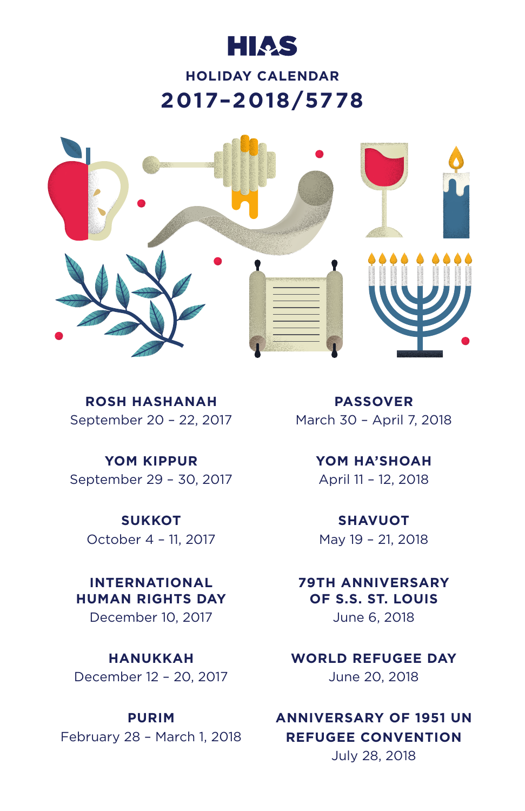# **HIAS**

### **HOLIDAY CALENDAR 2017–2018/5778**



**ROSH HASHANAH** September 20 – 22, 2017

**YOM KIPPUR** September 29 – 30, 2017

**SUKKOT** October 4 – 11, 2017

**INTERNATIONAL HUMAN RIGHTS DAY** December 10, 2017

**HANUKKAH** December 12 – 20, 2017

#### **PURIM**

February 28 – March 1, 2018

**PASSOVER** March 30 – April 7, 2018

> **YOM HA'SHOAH** April 11 – 12, 2018

**SHAVUOT** May 19 – 21, 2018

**79TH ANNIVERSARY OF S.S. ST. LOUIS** June 6, 2018

**WORLD REFUGEE DAY** June 20, 2018

### **ANNIVERSARY OF 1951 UN REFUGEE CONVENTION** July 28, 2018